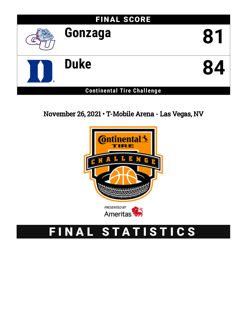

November 26, 2021 • T-Mobile Arena - Las Vegas, NV



# FINAL STATISTICS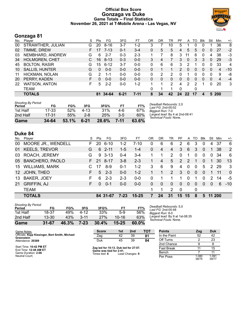#### **Official Box Score Gonzaga vs Duke Game Totals -- Final Statistics November 26, 2021 at T-Mobile Arena - Las Vegas, NV**



# **Gonzaga 81**

| No. | Plaver                | S  | <b>Pts</b>   | FG.      | 3FG      | FT       | ΟR | DR | TR       | PF | A            | TO | <b>B</b> lk | Stl | Min   | $+/-$ |
|-----|-----------------------|----|--------------|----------|----------|----------|----|----|----------|----|--------------|----|-------------|-----|-------|-------|
| 00  | STRAWTHER, JULIAN     | G  | 20           | $8 - 16$ | 3-7      | $1-2$    | 3  |    | 10       | 5  |              | 0  | 0           |     | 36    | 8     |
| 02  | TIMME, DREW           |    | 17           | $7 - 13$ | $0 - 1$  | $3 - 4$  | 0  | 5  | 5        | 4  | 5            | 5  | 0           | 0   | 27    | $-2$  |
| 03  | NEMBHARD, ANDREW      | G  | 6            | $2 - 7$  | $0 - 3$  | $2 - 3$  |    |    | 8        | 3  | 11           | 6  | 0           | 4   | 38    | $-3$  |
| 34  | <b>HOLMGREN, CHET</b> |    | 16           | $8 - 13$ | $0 - 3$  | $0-0$    | 3  | 4  |          | 3  | $\mathbf{0}$ | 3  | 3           | 0   | 29    | $-3$  |
| 45  | <b>BOLTON, RASIR</b>  | G  | 15           | $6 - 12$ | $3 - 7$  | $0-0$    | 0  | 6  | 6        | 3  | 2            |    |             | 0   | 33    | 4     |
| 10  | <b>SALLIS, HUNTER</b> | G  | $\mathbf{0}$ | $0-0$    | $0 - 0$  | $0 - 0$  | 0  |    |          | 2  | 0            | 0  | 0           | 0   | 4     | $-10$ |
| 11  | HICKMAN, NOLAN        | G  | 2            | 1-1      | $0 - 0$  | $0-0$    | 0  | 2  | 2        | 0  |              | 0  |             | 0   | 9     | -8    |
| 20  | PERRY, KADEN          | F. | $\Omega$     | $0 - 0$  | $0 - 0$  | $0 - 0$  | 0  | 0  | $\Omega$ | 0  | 0            | 0  | $\Omega$    | 0   | 4     | $-4$  |
| 22  | <b>WATSON, ANTON</b>  | F  | 5            | $2 - 2$  | $0 - 0$  | $1 - 2$  |    | 1  | 2        | 4  | 2            | 2  |             | 0   | 20    | 3     |
|     | <b>TEAM</b>           |    |              |          |          |          | 0  |    |          | 0  |              | 0  |             |     |       |       |
|     | <b>TOTALS</b>         |    | 81           | 34-64    | $6 - 21$ | $7 - 11$ | 8  | 34 | 42       | 24 | 22           | 17 | 4           |     | 5 200 |       |

| <b>Shooting By Period</b><br>Period | FG    | FG%   | 3FG      | 3FG%  | FТ    | FT%   |
|-------------------------------------|-------|-------|----------|-------|-------|-------|
| 1st Half                            | 17-33 | 52%   | 4-13     | 31%   | 4-6   | 67%   |
| 2nd Half                            | 17-31 | 55%   | $2 - 8$  | 25%   | $3-5$ | 60%   |
| Game                                | 34-64 | 53.1% | $6 - 21$ | 28.6% | 7-11  | 63.6% |

*Deadball Rebounds:* 2,0 *Last FG:* 2nd-00:02 *Biggest Run:* 7-0 *Largest lead:* By 4 at 2nd-08:41 *Technical Fouls:* None.

# **Duke 84**

| No.             | Player                    | S. | Pts      | FG       | 3FG     | FT        | OR       | DR       | TR            | PF             | A             | TO       | <b>B</b> lk | Stl      | Min    | $+/-$    |
|-----------------|---------------------------|----|----------|----------|---------|-----------|----------|----------|---------------|----------------|---------------|----------|-------------|----------|--------|----------|
| 00              | <b>MOORE JR., WENDELL</b> | F. | 20       | $6 - 10$ | $1 - 2$ | $7 - 10$  | 0        | 6        | 6             | 2              | 6             | 3        | $\Omega$    | 4        | 37     | 6        |
| 01              | <b>KEELS, TREVOR</b>      | G  | 6        | 2-11     | 1-5     | $1 - 4$   | $\Omega$ | 4        | 4             | 3              | 6             | 3        | $\Omega$    |          | 38     | 2        |
| 03              | ROACH, JEREMY             | G  | 9        | -3-13    | $0 - 4$ | $3 - 4$   |          |          | 2             | 0              | 1             | 0        | $\Omega$    | 0        | 34     | 6        |
| 05              | <b>BANCHERO, PAOLO</b>    |    | 21       | 8-17     | $3 - 8$ | $2 - 3$   |          | 4        | 5             | 2              | $\mathcal{P}$ |          | $\Omega$    |          | 30     | 13       |
| 15              | <b>WILLIAMS, MARK</b>     |    | 17       | 8-9      | $0 - 1$ | $1 - 2$   | 3        | 6        | 9             | 4              | $\Omega$      | $\Omega$ | 5           | 2        | 29     | 3        |
| 12 <sup>1</sup> | JOHN, THEO                | F. | 5        | $2 - 3$  | $0 - 0$ | $1 - 2$   |          |          | $\mathcal{P}$ | 3              | $\Omega$      | $\Omega$ | $\Omega$    |          | 11     | $\Omega$ |
| 13              | <b>BAKER, JOEY</b>        | F  | 6        | $2 - 3$  | $2 - 3$ | $0-0$     | 0        |          |               |                | $\Omega$      |          | 0           | 2        | 14     | -5       |
| 21              | <b>GRIFFIN, AJ</b>        | F  | $\Omega$ | $0 - 1$  | $0 - 0$ | $0 - 0$   | $\Omega$ | $\Omega$ | $\Omega$      | $\Omega$       | $\Omega$      | $\Omega$ | $\Omega$    | $\Omega$ | 6      | $-10$    |
|                 | <b>TEAM</b>               |    |          |          |         |           |          |          | 2             | $\overline{0}$ |               | 0        |             |          |        |          |
|                 | <b>TOTALS</b>             |    |          | 84 31-67 | $7-23$  | $15 - 25$ | 7        | 24       | 31            | 15             | 15            | 8        | 5           |          | 11 200 |          |

| Game                                | $31 - 67$ | 46.3% | 7-23     | 30.4% | $15 - 25$ | 60.0% |
|-------------------------------------|-----------|-------|----------|-------|-----------|-------|
| 2nd Half                            | 13-30     | 43%   | $3 - 11$ | 27%   | 10-16     | 63%   |
| 1st Half                            | 18-37     | 49%   | 4-12     | 33%   | 5-9       | 56%   |
| <b>Shooting By Period</b><br>Period | FG        | FG%   | 3FG      | 3FG%  | FТ        | FT%   |

*Deadball Rebounds:* 5,0 *Last FG:* 2nd-00:48 *Biggest Run:* 8-0 *Largest lead:* By 9 at 1st-08:35 *Technical Fouls:* None.

| Game Notes:                                                  | <b>Score</b>                             | 1st | 2 <sub>nd</sub> | тот | <b>Points</b> | Zag   | <b>Duk</b> |
|--------------------------------------------------------------|------------------------------------------|-----|-----------------|-----|---------------|-------|------------|
| Officials: Kipp Kissinger, Bert Smith, Michael<br>Greenstein | Zag                                      | 42  | 39              | 81  | In the Paint  | 52    | 42         |
| Attendance: 20389                                            | Duk                                      | 45  | 39              | 84  | Off Turns     |       | 23         |
|                                                              |                                          |     |                 |     | 2nd Chance    |       |            |
| Start Time: 10:42 PM ET<br>End Time: <b>12:48 AM ET</b>      | Zag led for 10:13. Duk led for 27:07.    |     |                 |     | Fast Break    |       | 15         |
| Game Duration: 2:06                                          | Game was tied for 2:41.<br>Times tied: 6 |     | Lead Changes: 9 |     | Bench         |       |            |
| Neutral Court:                                               |                                          |     |                 |     | Per Poss      | 1.080 | 1.091      |

| Bench    |                | 11             |
|----------|----------------|----------------|
| Per Poss | 1.080<br>38/75 | 1.091<br>39/77 |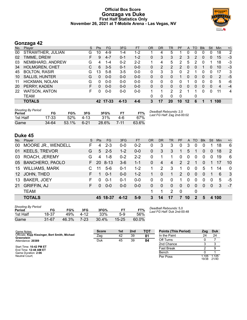#### **Official Box Score Gonzaga vs Duke First Half Statistics Only November 26, 2021 at T-Mobile Arena - Las Vegas, NV**



# **Gonzaga 42**

| No. | Player                | <sub>S</sub> | <b>Pts</b> | <b>FG</b> | 3FG      | <b>FT</b> | 0R | DR       | TR             | <b>PF</b>      | A       | TO       | <b>Blk</b> | Stl      | Min | $+/-$ |
|-----|-----------------------|--------------|------------|-----------|----------|-----------|----|----------|----------------|----------------|---------|----------|------------|----------|-----|-------|
| 00  | STRAWTHER, JULIAN     | G            | 10         | 4-9       | $1 - 4$  | $1 - 2$   |    | 4        | 5              |                | 0       | 0        |            | 0        | 18  | 2     |
| 02  | TIMME, DREW           |              | 9          | $4 - 7$   | $0 - 1$  | $1 - 2$   | 0  | 3        | 3              | $\overline{2}$ | 3       | 2        | 0          | 0        | 15  | $-3$  |
| 03  | NEMBHARD, ANDREW      | G            | 4          | $1 - 4$   | $0 - 2$  | $2 - 2$   |    | 4        | 5              | 2              | 5       | 2        |            |          | 18  | -3    |
| 34  | <b>HOLMGREN, CHET</b> | C.           | 6          | $3 - 5$   | $0 - 1$  | $0 - 0$   | 0  | 2        | $\overline{2}$ | 2              | 0       | 0        |            | 0        | 10  | $-3$  |
| 45  | <b>BOLTON, RASIR</b>  | G            | 13         | $5-8$     | $3-5$    | $0 - 0$   | 0  | 3        | 3              | 0              | 2       |          | 0          | 0        | 17  | 3     |
| 10  | <b>SALLIS, HUNTER</b> | G            | $\Omega$   | $0 - 0$   | $0 - 0$  | $0 - 0$   | 0  | 0        | 0              |                | 0       | 0        | 0          | 0        | 2   | $-5$  |
| 11  | HICKMAN, NOLAN        | G            | 0          | $0 - 0$   | $0 - 0$  | $0 - 0$   | 0  | $\Omega$ | 0              | 0              |         | 0        | 0          | 0        | 5   | -6    |
| 20  | PERRY, KADEN          | F.           | 0          | $0 - 0$   | $0 - 0$  | $0-0$     | 0  | $\Omega$ | $\Omega$       | 0              | 0       | $\Omega$ | 0          | $\Omega$ | 4   | $-4$  |
| 22  | <b>WATSON, ANTON</b>  | F            | 0          | $0 - 0$   | $0 - 0$  | $0 - 0$   |    | 1        | 2              | 2              | 1       | 1        | 0          | 0        | 11  | 4     |
|     | <b>TEAM</b>           |              |            |           |          |           | 0  | 0        | 0              | 0              |         | 0        |            |          |     |       |
|     | <b>TOTALS</b>         |              |            | 42 17-33  | $4 - 13$ | $4 - 6$   | 3  | 17       | 20             | 10             | $12 \,$ | 6        |            |          | 100 |       |

| <b>Shooting By Period</b><br>Period | FG    | FG%   | 3FG      | 3FG%  |      | FT%   | Deadball Rebounds: 2,0<br>Last FG Half: Zag 2nd-00:02 |
|-------------------------------------|-------|-------|----------|-------|------|-------|-------------------------------------------------------|
| 1st Half                            | 17-33 | 52%   | $4 - 13$ | 31%   | 4-6  | 67%   |                                                       |
| Game                                | 34-64 | 53.1% | $6 - 21$ | 28.6% | 7-11 | 63.6% |                                                       |

# **Duke 45**

| No.             | Player                    | S  | <b>Pts</b> | <b>FG</b> | 3FG      | <b>FT</b> | <b>OR</b> | <b>DR</b> | <b>TR</b> | PF            | A             | <b>TO</b> | <b>B</b> lk | Stl      | Min   | $+/-$    |
|-----------------|---------------------------|----|------------|-----------|----------|-----------|-----------|-----------|-----------|---------------|---------------|-----------|-------------|----------|-------|----------|
| 00              | <b>MOORE JR., WENDELL</b> | F  | 4          | $2 - 3$   | $0 - 0$  | $0 - 2$   | 0         | 3         | 3         | 0             | 3             | 0         | 0           |          | 18    | 6        |
| 01              | <b>KEELS, TREVOR</b>      | G  | 5          | $2 - 5$   | $1 - 2$  | $0 - 0$   | $\Omega$  | 3         | 3         |               | 5             |           | $\Omega$    | $\Omega$ | 18    | 2        |
| 03              | ROACH, JEREMY             | G  | 4          | $1 - 8$   | $0 - 2$  | $2 - 2$   | 0         |           |           | 0             | $\Omega$      | 0         | $\Omega$    | $\Omega$ | 19    | 6        |
| 05              | <b>BANCHERO, PAOLO</b>    | F. | 20         | $8 - 13$  | $3-6$    | $1 - 1$   | $\Omega$  | 4         | 4         | $\mathcal{P}$ | $\mathcal{P}$ |           | $\Omega$    |          | 17    | 10       |
| 15              | <b>WILLIAMS, MARK</b>     |    | 11         | $5-6$     | $0 - 1$  | $1 - 2$   |           | 2         | 3         |               | $\Omega$      | 0         | 5           |          | 14    | $\Omega$ |
| 12 <sup>1</sup> | JOHN, THEO                | F  | 1          | $0 - 1$   | $0 - 0$  | $1 - 2$   |           | $\Omega$  | 1         | 2             | $\Omega$      | $\Omega$  | $\Omega$    | 1        | 6     | 3        |
| 13              | <b>BAKER, JOEY</b>        | F  | 0          | $0 - 1$   | $0 - 1$  | $0-0$     | 0         | 0         | $\Omega$  | 1             | $\Omega$      | 0         | 0           | 0        | 5     | -5       |
| 21              | <b>GRIFFIN, AJ</b>        | F. | $\Omega$   | $0 - 0$   | $0 - 0$  | $0 - 0$   | $\Omega$  | $\Omega$  | $\Omega$  | $\Omega$      | $\Omega$      | $\Omega$  | $\Omega$    | $\Omega$ | 3     | $-7$     |
|                 | <b>TEAM</b>               |    |            |           |          |           | 1         |           | 2         | $\Omega$      |               | 0         |             |          |       |          |
|                 | <b>TOTALS</b>             |    |            | 45 18-37  | $4 - 12$ | $5-9$     | 3         | 14        | 17        | 7             | 10            | 2         | 5           |          | 4 100 |          |

| <b>Shooting By Period</b><br>Period | FG        | FG%   | 3FG    | 3FG%  | FТ        | FT%   |
|-------------------------------------|-----------|-------|--------|-------|-----------|-------|
| 1st Half                            | 18-37     | 49%   | 4-12   | 33%   | 5-9       | 56%   |
| Game                                | $31 - 67$ | 46.3% | $7-23$ | 30.4% | $15 - 25$ | 60.0% |

*Deadball Rebounds:* 5,0 *Last FG Half:* Duk 2nd-00:48

| Game Notes:                                                  | <b>Score</b> | 1st | 2 <sub>nd</sub> | <b>TOT</b> | <b>Points (This Period)</b> | Zag  | Duk                      |
|--------------------------------------------------------------|--------------|-----|-----------------|------------|-----------------------------|------|--------------------------|
| Officials: Kipp Kissinger, Bert Smith, Michael<br>Greenstein | Zag          | 42  | 39              | 81         | In the Paint                |      | 24                       |
| Attendance: 20389                                            | Duk          | 45  | 39              | 84         | Off Turns                   |      |                          |
|                                                              |              |     |                 |            | 2nd Chance                  |      |                          |
| Start Time: 10:42 PM ET<br>End Time: 12:48 AM ET             |              |     |                 |            | <b>Fast Break</b>           |      |                          |
| Game Duration: 2:06                                          |              |     |                 |            | Bench                       |      |                          |
| Neutral Court:                                               |              |     |                 |            | Per Poss                    | .105 | 1.125<br>$10100 - 01110$ |

| in the Paint | 24          | 24          |
|--------------|-------------|-------------|
| Off Turns    |             |             |
| 2nd Chance   | 3           | З           |
| Fast Break   | 2           | 9           |
| Bench        |             |             |
| Per Poss     | 19/38 21/40 | 1.105 1.125 |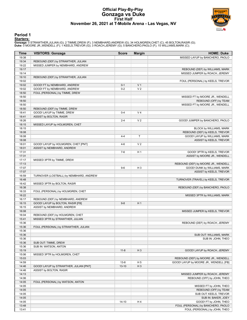### **Official Play-By-Play Gonzaga vs Duke First Half November 26, 2021 at T-Mobile Arena - Las Vegas, NV**



#### **Period 1**

<mark>Starters:</mark><br>Gonzaga: 0 STRAWTHER,JULIAN (G); 2 TIMME,DREW (F); 3 NEMBHARD,ANDREW (G); 34 HOLMGREN,CHET (C); 45 BOLTON,RASIR (G);<br>Duke: 0 MOORE JR.,WENDELL (F); 1 KEELS,TREVOR (G); 3 ROACH,JEREMY (G); 5 BANCHERO,PAOLO (F);

| Time           | <b>VISITORS: Gonzaga</b>                | <b>Score</b> | <b>Margin</b>  | <b>HOME: Duke</b>                      |
|----------------|-----------------------------------------|--------------|----------------|----------------------------------------|
| 19:38          |                                         |              |                | MISSED LAYUP by BANCHERO, PAOLO        |
| 19:34          | REBOUND (DEF) by STRAWTHER, JULIAN      |              |                |                                        |
| 19:22          | MISSED JUMPER by NEMBHARD, ANDREW       |              |                |                                        |
| 19:17          |                                         |              |                | REBOUND (DEF) by WILLIAMS, MARK        |
| 19:14          |                                         |              |                | MISSED JUMPER by ROACH, JEREMY         |
| 19:10<br>19:02 | REBOUND (DEF) by STRAWTHER, JULIAN      |              |                | FOUL (PERSONAL) by KEELS, TREVOR       |
| 19:02          | GOOD! FT by NEMBHARD, ANDREW            | $0 - 1$      | V <sub>1</sub> |                                        |
| 19:02          | GOOD! FT by NEMBHARD, ANDREW            | $0 - 2$      | V <sub>2</sub> |                                        |
| 18:50          | FOUL (PERSONAL) by TIMME, DREW          |              |                |                                        |
| 18:50          |                                         |              |                | MISSED FT by MOORE JR., WENDELL        |
| 18:50          |                                         |              |                | REBOUND (OFF) by TEAM                  |
| 18:50          |                                         |              |                | MISSED FT by MOORE JR., WENDELL        |
| 18:50          | REBOUND (DEF) by TIMME, DREW            |              |                |                                        |
| 18:41          | GOOD! LAYUP by TIMME, DREW              | $0 - 4$      | V <sub>4</sub> |                                        |
| 18:41          | ASSIST by BOLTON, RASIR                 |              |                |                                        |
| 18:26          |                                         | $2 - 4$      | V <sub>2</sub> | GOOD! JUMPER by BANCHERO, PAOLO        |
| 18:15<br>18:15 | MISSED LAYUP by HOLMGREN, CHET          |              |                | BLOCK by WILLIAMS, MARK                |
| 18:08          |                                         |              |                | REBOUND (DEF) by KEELS, TREVOR         |
| 18:08          |                                         | $4 - 4$      | T              | GOOD! LAYUP by WILLIAMS, MARK          |
| 18:08          |                                         |              |                | ASSIST by KEELS, TREVOR                |
| 18:01          | GOOD! LAYUP by HOLMGREN, CHET [PNT]     | $4-6$        | V <sub>2</sub> |                                        |
| 18:01          | ASSIST by NEMBHARD, ANDREW              |              |                |                                        |
| 17:31          |                                         | $7-6$        | H <sub>1</sub> | GOOD! 3PTR by KEELS, TREVOR            |
| 17:31          |                                         |              |                | ASSIST by MOORE JR., WENDELL           |
| 17:17          | MISSED 3PTR by TIMME, DREW              |              |                |                                        |
| 17:13          |                                         |              |                | REBOUND (DEF) by MOORE JR., WENDELL    |
| 17:07          |                                         | $9-6$        | H <sub>3</sub> | GOOD! DUNK by WILLIAMS, MARK           |
| 17:07          |                                         |              |                | ASSIST by KEELS, TREVOR                |
| 16:59<br>16:48 | TURNOVER (LOSTBALL) by NEMBHARD, ANDREW |              |                | TURNOVER (TRAVEL) by KEELS, TREVOR     |
| 16:42          | MISSED 3PTR by BOLTON, RASIR            |              |                |                                        |
| 16:38          |                                         |              |                | REBOUND (DEF) by BANCHERO, PAOLO       |
| 16:33          | FOUL (PERSONAL) by HOLMGREN, CHET       |              |                |                                        |
| 16:22          |                                         |              |                | MISSED 3PTR by WILLIAMS, MARK          |
| 16:17          | REBOUND (DEF) by NEMBHARD, ANDREW       |              |                |                                        |
| 16:15          | GOOD! LAYUP by BOLTON, RASIR [FB]       | $9-8$        | H <sub>1</sub> |                                        |
| 16:15          | ASSIST by NEMBHARD, ANDREW              |              |                |                                        |
| 16:08          |                                         |              |                | MISSED JUMPER by KEELS, TREVOR         |
| 16:04          | REBOUND (DEF) by HOLMGREN, CHET         |              |                |                                        |
| 15:41<br>15:36 | MISSED 3PTR by STRAWTHER, JULIAN        |              |                | REBOUND (DEF) by ROACH, JEREMY         |
| 15:36          | FOUL (PERSONAL) by STRAWTHER, JULIAN    |              |                |                                        |
| 15:36          |                                         |              |                |                                        |
| 15:36          |                                         |              |                | SUB OUT: WILLIAMS, MARK                |
| 15:36          |                                         |              |                | SUB IN: JOHN, THEO                     |
| 15:36          | SUB OUT: TIMME, DREW                    |              |                |                                        |
| 15:36          | SUB IN: WATSON, ANTON                   |              |                |                                        |
| 15:19          |                                         | $11 - 8$     | $H_3$          | GOOD! LAYUP by ROACH, JEREMY           |
| 15:06          | MISSED 3PTR by HOLMGREN, CHET           |              |                |                                        |
| 15:03          |                                         |              |                | REBOUND (DEF) by MOORE JR., WENDELL    |
| 14:59          |                                         | $13 - 8$     | H <sub>5</sub> | GOOD! LAYUP by MOORE JR., WENDELL [FB] |
| 14:46          | GOOD! LAYUP by STRAWTHER, JULIAN [PNT]  | $13 - 10$    | $H_3$          |                                        |
| 14:46<br>14:13 | ASSIST by BOLTON, RASIR                 |              |                | MISSED JUMPER by ROACH, JEREMY         |
| 14:06          |                                         |              |                | REBOUND (OFF) by JOHN, THEO            |
| 14:05          | FOUL (PERSONAL) by WATSON, ANTON        |              |                |                                        |
| 14:05          |                                         |              |                | MISSED FT by JOHN, THEO                |
| 14:05          |                                         |              |                | REBOUND (OFF) by TEAM                  |
| 14:05          |                                         |              |                | SUB OUT: KEELS, TREVOR                 |
| 14:05          |                                         |              |                | SUB IN: BAKER, JOEY                    |
| 14:05          |                                         | $14 - 10$    | H <sub>4</sub> | GOOD! FT by JOHN, THEO                 |
| 13:48          |                                         |              |                | FOUL (PERSONAL) by BANCHERO, PAOLO     |
| 13:41          |                                         |              |                | FOUL (PERSONAL) by JOHN, THEO          |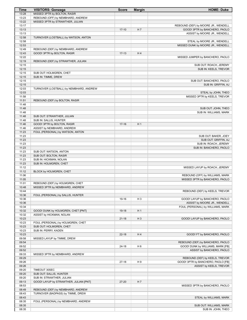| Time           | <b>VISITORS: Gonzaga</b>                                               | <b>Score</b> | <b>Margin</b>  | <b>HOME: Duke</b>                                   |
|----------------|------------------------------------------------------------------------|--------------|----------------|-----------------------------------------------------|
| 13:28          | MISSED 3PTR by BOLTON, RASIR                                           |              |                |                                                     |
| 13:23<br>13:22 | REBOUND (OFF) by NEMBHARD, ANDREW<br>MISSED 3PTR by STRAWTHER, JULIAN  |              |                |                                                     |
| 13:17          |                                                                        |              |                | REBOUND (DEF) by MOORE JR., WENDELL                 |
| 13:13          |                                                                        | $17-10$      | H <sub>7</sub> | GOOD! 3PTR by BANCHERO, PAOLO                       |
| 13:13          |                                                                        |              |                | ASSIST by MOORE JR., WENDELL                        |
| 12:58          | TURNOVER (LOSTBALL) by WATSON, ANTON                                   |              |                |                                                     |
| 12:58          |                                                                        |              |                | STEAL by MOORE JR., WENDELL                         |
| 12:53          |                                                                        |              |                | MISSED DUNK by MOORE JR., WENDELL                   |
| 12:49          | REBOUND (DEF) by NEMBHARD, ANDREW                                      |              |                |                                                     |
| 12:43          | GOOD! 3PTR by BOLTON, RASIR                                            | $17-13$      | H4             |                                                     |
| 12:22<br>12:19 | REBOUND (DEF) by STRAWTHER, JULIAN                                     |              |                | MISSED JUMPER by BANCHERO, PAOLO                    |
| 12:15          |                                                                        |              |                | SUB OUT: ROACH, JEREMY                              |
| 12:15          |                                                                        |              |                | SUB IN: KEELS, TREVOR                               |
| 12:15          | SUB OUT: HOLMGREN, CHET                                                |              |                |                                                     |
| 12:15          | SUB IN: TIMME, DREW                                                    |              |                |                                                     |
| 12:15          |                                                                        |              |                | SUB OUT: BANCHERO, PAOLO                            |
| 12:15          |                                                                        |              |                | SUB IN: GRIFFIN, AJ                                 |
| 12:03          | TURNOVER (LOSTBALL) by NEMBHARD, ANDREW                                |              |                |                                                     |
| 12:03<br>11:58 |                                                                        |              |                | STEAL by JOHN, THEO<br>MISSED 3PTR by KEELS, TREVOR |
| 11:51          | REBOUND (DEF) by BOLTON, RASIR                                         |              |                |                                                     |
| 11:48          |                                                                        |              |                |                                                     |
| 11:48          |                                                                        |              |                | SUB OUT: JOHN, THEO                                 |
| 11:48          |                                                                        |              |                | SUB IN: WILLIAMS, MARK                              |
| 11:48          | SUB OUT: STRAWTHER, JULIAN                                             |              |                |                                                     |
| 11:48          | SUB IN: SALLIS, HUNTER                                                 |              |                |                                                     |
| 11:46<br>11:46 | GOOD! 3PTR by BOLTON, RASIR<br>ASSIST by NEMBHARD, ANDREW              | $17-16$      | H <sub>1</sub> |                                                     |
| 11:23          | FOUL (PERSONAL) by WATSON, ANTON                                       |              |                |                                                     |
| 11:23          |                                                                        |              |                | SUB OUT: BAKER, JOEY                                |
| 11:23          |                                                                        |              |                | SUB OUT: GRIFFIN, AJ                                |
| 11:23          |                                                                        |              |                | SUB IN: ROACH, JEREMY                               |
| 11:23          |                                                                        |              |                | SUB IN: BANCHERO, PAOLO                             |
| 11:23<br>11:23 | SUB OUT: WATSON, ANTON<br>SUB OUT: BOLTON, RASIR                       |              |                |                                                     |
| 11:23          | SUB IN: HICKMAN, NOLAN                                                 |              |                |                                                     |
| 11:23          | SUB IN: HOLMGREN, CHET                                                 |              |                |                                                     |
| 11:12          |                                                                        |              |                | MISSED LAYUP by ROACH, JEREMY                       |
| 11:12          | BLOCK by HOLMGREN, CHET                                                |              |                |                                                     |
| 11:06          |                                                                        |              |                | REBOUND (OFF) by WILLIAMS, MARK                     |
| 11:05<br>11:01 | REBOUND (DEF) by HOLMGREN, CHET                                        |              |                | MISSED 3PTR by BANCHERO, PAOLO                      |
| 10:48          | MISSED 3PTR by NEMBHARD, ANDREW                                        |              |                |                                                     |
| 10:44          |                                                                        |              |                | REBOUND (DEF) by KEELS, TREVOR                      |
| 10:36          | FOUL (PERSONAL) by SALLIS, HUNTER                                      |              |                |                                                     |
| 10:36          |                                                                        | 19-16        | H <sub>3</sub> | GOOD! LAYUP by BANCHERO, PAOLO                      |
| 10:36          |                                                                        |              |                | ASSIST by MOORE JR., WENDELL                        |
| 10:34<br>10:32 | GOOD! DUNK by HOLMGREN, CHET [PNT]                                     | 19-18        | H <sub>1</sub> | FOUL (PERSONAL) by WILLIAMS, MARK                   |
| 10:32          | ASSIST by HICKMAN, NOLAN                                               |              |                |                                                     |
| 10:23          |                                                                        | $21 - 18$    | $H_3$          | GOOD! LAYUP by BANCHERO, PAOLO                      |
| 10:23          | FOUL (PERSONAL) by HOLMGREN, CHET                                      |              |                |                                                     |
| 10:23          | SUB OUT: HOLMGREN, CHET                                                |              |                |                                                     |
| 10:23          | SUB IN: PERRY, KADEN                                                   |              |                |                                                     |
| 10:23          |                                                                        | $22 - 18$    | H4             | GOOD! FT by BANCHERO, PAOLO                         |
| 09:58<br>09:54 | MISSED LAYUP by TIMME, DREW                                            |              |                | REBOUND (DEF) by BANCHERO, PAOLO                    |
| 09:52          |                                                                        | $24 - 18$    | H <sub>6</sub> | GOOD! DUNK by WILLIAMS, MARK [FB]                   |
| 09:52          |                                                                        |              |                | ASSIST by BANCHERO, PAOLO                           |
| 09:33          | MISSED 3PTR by NEMBHARD, ANDREW                                        |              |                |                                                     |
| 09:29          |                                                                        |              |                | REBOUND (DEF) by KEELS, TREVOR                      |
| 09:26          |                                                                        | $27-18$      | H9             | GOOD! 3PTR by BANCHERO, PAOLO [FB]                  |
| 09:26<br>09:20 | TIMEOUT 30SEC                                                          |              |                | ASSIST by KEELS, TREVOR                             |
| 09:20          | SUB OUT: SALLIS, HUNTER                                                |              |                |                                                     |
| 09:20          | SUB IN: STRAWTHER, JULIAN                                              |              |                |                                                     |
| 09:13          | GOOD! LAYUP by STRAWTHER, JULIAN [PNT]                                 | 27-20        | H <sub>7</sub> |                                                     |
| 08:53          |                                                                        |              |                | MISSED 3PTR by BANCHERO, PAOLO                      |
| 08:49<br>08:43 | REBOUND (DEF) by NEMBHARD, ANDREW<br>TURNOVER (BADPASS) by TIMME, DREW |              |                |                                                     |
| 08:43          |                                                                        |              |                | STEAL by WILLIAMS, MARK                             |
| 08:35          | FOUL (PERSONAL) by NEMBHARD, ANDREW                                    |              |                |                                                     |
| 08:35          |                                                                        |              |                | SUB OUT: WILLIAMS, MARK                             |
| 08:35          |                                                                        |              |                | SUB IN: JOHN, THEO                                  |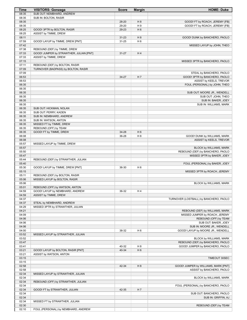| <b>Time</b>    | <b>VISITORS: Gonzaga</b>                | <b>Score</b> | <b>Margin</b>  | <b>HOME: Duke</b>                      |
|----------------|-----------------------------------------|--------------|----------------|----------------------------------------|
| 08:35          | SUB OUT: NEMBHARD, ANDREW               |              |                |                                        |
| 08:35          | SUB IN: BOLTON, RASIR                   |              |                |                                        |
| 08:35          |                                         | 28-20        | H <sub>8</sub> | GOOD! FT by ROACH, JEREMY [FB]         |
| 08:35          |                                         | 29-20        | H9             | GOOD! FT by ROACH, JEREMY [FB]         |
| 08:25          | GOOD! 3PTR by BOLTON, RASIR             | 29-23        | H <sub>6</sub> |                                        |
| 08:25          | ASSIST by TIMME, DREW                   |              |                |                                        |
| 08:11          |                                         | $31 - 23$    | H <sub>8</sub> | GOOD! DUNK by BANCHERO, PAOLO          |
| 07:59          | GOOD! LAYUP by TIMME, DREW [PNT]        | 31-25        | H <sub>6</sub> |                                        |
| 07:42          |                                         |              |                | MISSED LAYUP by JOHN, THEO             |
| 07:38          | REBOUND (DEF) by TIMME, DREW            |              |                |                                        |
| 07:33          | GOOD! JUMPER by STRAWTHER, JULIAN [PNT] | $31 - 27$    | H4             |                                        |
| 07:33          | ASSIST by TIMME, DREW                   |              |                |                                        |
| 07:15          |                                         |              |                | MISSED 3PTR by BANCHERO, PAOLO         |
| 07:11          | REBOUND (DEF) by BOLTON, RASIR          |              |                |                                        |
| 07:09          | TURNOVER (BADPASS) by BOLTON, RASIR     |              |                |                                        |
| 07:09          |                                         |              |                | STEAL by BANCHERO, PAOLO               |
| 06:53          |                                         | 34-27        | H7             | GOOD! 3PTR by BANCHERO, PAOLO          |
| 06:53          |                                         |              |                | ASSIST by KEELS, TREVOR                |
| 06:35          |                                         |              |                | FOUL (PERSONAL) by JOHN, THEO          |
| 06:35          |                                         |              |                |                                        |
| 06:35          |                                         |              |                | SUB OUT: MOORE JR., WENDELL            |
| 06:35          |                                         |              |                | SUB OUT: JOHN, THEO                    |
| 06:35          |                                         |              |                | SUB IN: BAKER, JOEY                    |
| 06:35          |                                         |              |                | SUB IN: WILLIAMS, MARK                 |
| 06:35          | SUB OUT: HICKMAN, NOLAN                 |              |                |                                        |
| 06:35          | SUB OUT: PERRY, KADEN                   |              |                |                                        |
| 06:35          | SUB IN: NEMBHARD, ANDREW                |              |                |                                        |
| 06:35          | SUB IN: WATSON, ANTON                   |              |                |                                        |
| 06:35          |                                         |              |                |                                        |
|                | MISSED FT by TIMME, DREW                |              |                |                                        |
| 06:35<br>06:35 | REBOUND (OFF) by TEAM                   | 34-28        | H <sub>6</sub> |                                        |
|                | GOOD! FT by TIMME, DREW                 |              |                |                                        |
| 06:08          |                                         | 36-28        | H <sub>8</sub> | GOOD! DUNK by WILLIAMS, MARK           |
| 06:08          |                                         |              |                | ASSIST by KEELS, TREVOR                |
| 05:57          | MISSED LAYUP by TIMME, DREW             |              |                |                                        |
| 05:57          |                                         |              |                | BLOCK by WILLIAMS, MARK                |
| 05:50          |                                         |              |                | REBOUND (DEF) by BANCHERO, PAOLO       |
| 05:47          |                                         |              |                | MISSED 3PTR by BAKER, JOEY             |
| 05:44          | REBOUND (DEF) by STRAWTHER, JULIAN      |              |                |                                        |
| 05:40          |                                         |              |                | FOUL (PERSONAL) by BAKER, JOEY         |
| 05:30          | GOOD! LAYUP by TIMME, DREW [PNT]        | 36-30        | H <sub>6</sub> |                                        |
| 05:15          |                                         |              |                | MISSED 3PTR by ROACH, JEREMY           |
| 05:11          | REBOUND (DEF) by BOLTON, RASIR          |              |                |                                        |
| 05:06          | MISSED LAYUP by BOLTON, RASIR           |              |                |                                        |
| 05:06          |                                         |              |                | <b>BLOCK by WILLIAMS, MARK</b>         |
| 05:01          | REBOUND (OFF) by WATSON, ANTON          |              |                |                                        |
| 04:59          | GOOD! LAYUP by NEMBHARD, ANDREW         | 36-32        | H4             |                                        |
| 04:59          | ASSIST by TIMME, DREW                   |              |                |                                        |
| 04:37          |                                         |              |                | TURNOVER (LOSTBALL) by BANCHERO, PAOLO |
| 04:37          | STEAL by NEMBHARD, ANDREW               |              |                |                                        |
| 04:29          | MISSED 3PTR by STRAWTHER, JULIAN        |              |                |                                        |
| 04:21          |                                         |              |                | REBOUND (DEF) by WILLIAMS, MARK        |
| 04:09          |                                         |              |                | MISSED JUMPER by ROACH, JEREMY         |
| 04:06          |                                         |              |                | REBOUND (OFF) by TEAM                  |
| 04:06          |                                         |              |                | SUB OUT: BAKER, JOEY                   |
| 04:06          |                                         |              |                | SUB IN: MOORE JR., WENDELL             |
| 04:00          |                                         | 38-32        | H <sub>6</sub> | GOOD! LAYUP by MOORE JR., WENDELL      |
| 03:52          | MISSED LAYUP by STRAWTHER, JULIAN       |              |                |                                        |
| 03:52          |                                         |              |                | BLOCK by WILLIAMS, MARK                |
| 03:47          |                                         |              |                | REBOUND (DEF) by BANCHERO, PAOLO       |
| 03:41          |                                         | 40-32        | H <sub>8</sub> | GOOD! JUMPER by BANCHERO, PAOLO        |
| 03:21          | GOOD! LAYUP by BOLTON, RASIR [PNT]      | 40-34        | H <sub>6</sub> |                                        |
| 03:21          | ASSIST by WATSON, ANTON                 |              |                |                                        |
| 03:15          |                                         |              |                | TIMEOUT 30SEC                          |
| 03:15          |                                         |              |                |                                        |
| 02:58          |                                         | 42-34        | H <sub>8</sub> | GOOD! JUMPER by WILLIAMS, MARK [PNT]   |
| 02:58          |                                         |              |                | ASSIST by BANCHERO, PAOLO              |
| 02:34          | MISSED LAYUP by STRAWTHER, JULIAN       |              |                |                                        |
| 02:34          |                                         |              |                | BLOCK by WILLIAMS, MARK                |
| 02:34          | REBOUND (OFF) by STRAWTHER, JULIAN      |              |                |                                        |
| 02:34          |                                         |              |                | FOUL (PERSONAL) by BANCHERO, PAOLO     |
|                |                                         |              |                |                                        |
| 02:34          | GOOD! FT by STRAWTHER, JULIAN           | 42-35        | H7             |                                        |
| 02:34          |                                         |              |                | SUB OUT: BANCHERO, PAOLO               |
| 02:34          |                                         |              |                | SUB IN: GRIFFIN, AJ                    |
| 02:34          | MISSED FT by STRAWTHER, JULIAN          |              |                |                                        |
| 02:30          |                                         |              |                | REBOUND (DEF) by TEAM                  |
| 02:10          | FOUL (PERSONAL) by NEMBHARD, ANDREW     |              |                |                                        |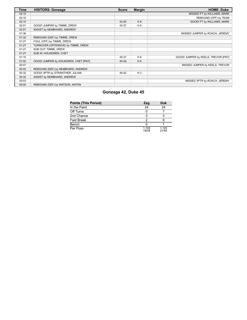| Time  | <b>VISITORS: Gonzaga</b>             | <b>Score</b> | <b>Margin</b>  | <b>HOME: Duke</b>                   |
|-------|--------------------------------------|--------------|----------------|-------------------------------------|
| 02:10 |                                      |              |                | MISSED FT by WILLIAMS, MARK         |
| 02:10 |                                      |              |                | REBOUND (OFF) by TEAM               |
| 02:10 |                                      | 43-35        | H 8            | GOOD! FT by WILLIAMS, MARK          |
| 02:01 | GOOD! JUMPER by TIMME, DREW          | 43-37        | H 6            |                                     |
| 02:01 | ASSIST by NEMBHARD, ANDREW           |              |                |                                     |
| 01:36 |                                      |              |                | MISSED JUMPER by ROACH, JEREMY      |
| 01:32 | REBOUND (DEF) by TIMME, DREW         |              |                |                                     |
| 01:27 | FOUL (OFF) by TIMME, DREW            |              |                |                                     |
| 01:27 | TURNOVER (OFFENSIVE) by TIMME, DREW  |              |                |                                     |
| 01:27 | SUB OUT: TIMME, DREW                 |              |                |                                     |
| 01:27 | SUB IN: HOLMGREN, CHET               |              |                |                                     |
| 01:15 |                                      | 45-37        | H 8            | GOOD! JUMPER by KEELS, TREVOR [PNT] |
| 01:02 | GOOD! JUMPER by HOLMGREN, CHET [PNT] | 45-39        | H <sub>6</sub> |                                     |
| 00:47 |                                      |              |                | MISSED JUMPER by KEELS, TREVOR      |
| 00:43 | REBOUND (DEF) by NEMBHARD, ANDREW    |              |                |                                     |
| 00:32 | GOOD! 3PTR by STRAWTHER, JULIAN      | 45-42        | $H_3$          |                                     |
| 00:32 | ASSIST by NEMBHARD, ANDREW           |              |                |                                     |
| 00:03 |                                      |              |                | MISSED 3PTR by ROACH, JEREMY        |
| 00:00 | REBOUND (DEF) by WATSON, ANTON       |              |                |                                     |

# **Gonzaga 42, Duke 45**

| <b>Points (This Period)</b> | Zag            | <b>Duk</b>     |
|-----------------------------|----------------|----------------|
| In the Paint                | 24             | 24             |
| Off Turns                   |                |                |
| 2nd Chance                  |                |                |
| Fast Break                  |                |                |
| Bench                       |                |                |
| Per Poss                    | 1.105<br>19/38 | 1.125<br>21/40 |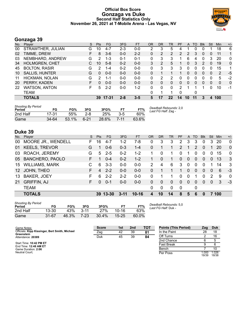#### **Official Box Score Gonzaga vs Duke Second Half Statistics Only November 26, 2021 at T-Mobile Arena - Las Vegas, NV**



# **Gonzaga 39**

| No. | Player                | S  | <b>Pts</b>   | FG      | 3FG     | <b>FT</b> | <b>OR</b> | DR       | TR       | PF             | A  | TO | <b>Blk</b>     | Stl | Min | $+/-$        |
|-----|-----------------------|----|--------------|---------|---------|-----------|-----------|----------|----------|----------------|----|----|----------------|-----|-----|--------------|
| 00  | STRAWTHER, JULIAN     | G  | 10           | 4-7     | 2-3     | $0-0$     | 2         | 3        | 5        | 4              |    | 0  |                |     | 18  | 6            |
| 02  | TIMME, DREW           | F  | 8            | $3-6$   | $0 - 0$ | $2 - 2$   | 0         | 2        | 2        | $\overline{2}$ | 2  | 3  | 0              | 0   | 11  | $\mathbf{1}$ |
| 03  | NEMBHARD, ANDREW      | G  | 2            | 1-3     | $0 - 1$ | $0 - 1$   | 0         | 3        | 3        |                | 6  | 4  | 0              | 3   | 20  | $\mathbf 0$  |
| 34  | <b>HOLMGREN, CHET</b> | C. | 10           | $5 - 8$ | $0 - 2$ | $0 - 0$   | 3         | 2        | 5        |                | 0  | 3  | 2              | 0   | 19  | $\mathbf 0$  |
| 45  | <b>BOLTON, RASIR</b>  | G  | 2            | $1 - 4$ | $0 - 2$ | $0 - 0$   | 0         | 3        | 3        | 3              | 0  | 0  | 0              | 0   | 15  | 1.           |
| 10  | <b>SALLIS, HUNTER</b> | G  | $\mathbf{0}$ | $0 - 0$ | $0-0$   | $0 - 0$   | 0         |          |          |                | 0  | 0  | $\overline{0}$ | 0   | 2   | -5           |
| 11  | HICKMAN, NOLAN        | G  | 2            | 1-1     | $0 - 0$ | $0 - 0$   | $\Omega$  | 2        | 2        | 0              | 0  | 0  | 0              | 0   | 5   | -2           |
| 20  | PERRY, KADEN          |    | $\Omega$     | $0 - 0$ | $0 - 0$ | $0 - 0$   | $\Omega$  | 0        | 0        | 0              | 0  | 0  | $\Omega$       | 0   | 0   | $\mathbf{0}$ |
| 22  | <b>WATSON, ANTON</b>  | F. | 5            | $2 - 2$ | $0 - 0$ | $1 - 2$   | $\Omega$  | $\Omega$ | $\Omega$ | 2              | 1  |    |                | U   | 10  | $-1$         |
|     | <b>TEAM</b>           |    |              |         |         |           | 0         |          |          | 0              |    | 0  |                |     |     |              |
|     | <b>TOTALS</b>         |    | 39           | 17-31   | $2 - 8$ | $3 - 5$   | 5         | 17       | 22       | 14             | 10 | 11 | 3              | 4   | 100 |              |

| <b>Shooting By Period</b><br>Period | FG    | FG%   | 3FG      | 3FG%  | FТ      | FT%   | Deadball Rebounds: 2,0<br>Last FG Half: Zag - |
|-------------------------------------|-------|-------|----------|-------|---------|-------|-----------------------------------------------|
| 2nd Half                            | 17-31 | 55%   | 2-8      | 25%   | $3 - 5$ | 60%   |                                               |
| Game                                | 34-64 | 53.1% | $6 - 21$ | 28.6% | 7-11    | 63.6% |                                               |

## **Duke 39**

| No.             | Player                    | S. | Pts | FG.      | 3FG      | <b>FT</b> | OR            | <b>DR</b>   | <b>TR</b> | PF       | A            | TO       | <b>B</b> lk | Stl      | <b>Min</b> | $+/-$        |
|-----------------|---------------------------|----|-----|----------|----------|-----------|---------------|-------------|-----------|----------|--------------|----------|-------------|----------|------------|--------------|
| 00              | <b>MOORE JR., WENDELL</b> | F. | 16  | $4 - 7$  | $1 - 2$  | 7-8       | 0             | 3           | 3         | 2        | 3            | 3        | 0           | 3        | 20         | $\Omega$     |
| 01              | <b>KEELS, TREVOR</b>      | G  |     | $0 - 6$  | $0 - 3$  | $1 - 4$   | 0             | 1           |           | 2        |              | 2        | 0           |          | 20         | $\mathbf{0}$ |
| 03              | ROACH, JEREMY             | G  | 5   | $2 - 5$  | $0 - 2$  | $1 - 2$   |               | $\Omega$    | 1         | 0        |              | 0        | $\Omega$    | 0        | 15         | $\mathbf{0}$ |
| 05              | <b>BANCHERO, PAOLO</b>    |    |     | $0 - 4$  | $0 - 2$  | $1 - 2$   |               | $\Omega$    | 1         | 0        | $\Omega$     | $\Omega$ | $\Omega$    | $\Omega$ | 13         | 3            |
| 15              | <b>WILLIAMS, MARK</b>     |    | 6   | $3 - 3$  | $0-0$    | $0-0$     | $\mathcal{P}$ | 4           | 6         | 3        | $\Omega$     | $\Omega$ | 0           |          | 14         | 3            |
| 12 <sup>°</sup> | JOHN, THEO                |    | 4   | $2 - 2$  | $0 - 0$  | $0 - 0$   | 0             |             |           | 1        | 0            | $\Omega$ | $\Omega$    | $\Omega$ | 6          | $-3$         |
| 13              | <b>BAKER, JOEY</b>        | F  | 6   | $2 - 2$  | $2 - 2$  | $0 - 0$   | 0             |             |           | $\Omega$ | $\mathbf{0}$ | 1        | $\Omega$    | 2        | 9          | $\mathbf{0}$ |
| 21              | <b>GRIFFIN, AJ</b>        | F. |     | $0 - 1$  | $0 - 0$  | $0 - 0$   | 0             | $\Omega$    | $\Omega$  | 0        | $\Omega$     | 0        | $\Omega$    | $\Omega$ | 3          | -3           |
|                 | <b>TEAM</b>               |    |     |          |          |           | 0             | $\mathbf 0$ | $\Omega$  | 0        |              | 0        |             |          |            |              |
|                 | <b>TOTALS</b>             |    |     | 39 13-30 | $3 - 11$ | $10 - 16$ | 4             | 10          | 14        | 8        | 5            | 6        |             |          | 7 100      |              |
|                 |                           |    |     |          |          |           |               |             |           |          |              |          |             |          |            |              |

| <b>Shooting By Period</b><br>Period | FG        | FG%   | 3FG      | 3FG%  | FТ        | FT%   |
|-------------------------------------|-----------|-------|----------|-------|-----------|-------|
| 2nd Half                            | 13-30     | 43%   | $3 - 11$ | 27%   | 10-16     | 63%   |
| Game                                | $31 - 67$ | 46.3% | $7-23$   | 30.4% | $15 - 25$ | 60.0% |

*Deadball Rebounds:* 5,0 *Last FG Half:* Duk -

Per Poss

19/39 1.026 18/38

| Game Notes:                                                  | <b>Score</b> | 1st | 2 <sub>nd</sub> | <b>TOT</b> | <b>Points (This Period)</b> | Zag   | Duk  |
|--------------------------------------------------------------|--------------|-----|-----------------|------------|-----------------------------|-------|------|
| Officials: Kipp Kissinger, Bert Smith, Michael<br>Greenstein | Zag          | 42  | 39              | 81         | In the Paint                | 28    | 18   |
| Attendance: 20389                                            | Duk          | 45  | 39              | 84         | Off Turns                   |       | 16   |
|                                                              |              |     |                 |            | 2nd Chance                  |       |      |
| Start Time: 10:42 PM ET<br>End Time: 12:48 AM ET             |              |     |                 |            | <b>Fast Break</b>           |       |      |
| Game Duration: 2:06                                          |              |     |                 |            | Bench                       |       | 10   |
| Neutral Court:                                               |              |     |                 |            | Per Poss                    | 000.1 | .026 |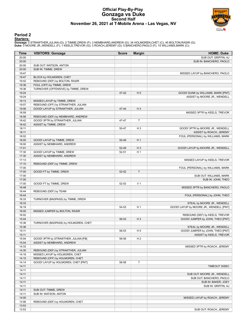### **Official Play-By-Play Gonzaga vs Duke Second Half November 26, 2021 at T-Mobile Arena - Las Vegas, NV**



### **Period 2**

#### **Starters:**

**Gonzaga**: 0 STRAWTHER,JULIAN (G); 2 TIMME,DREW (F); 3 NEMBHARD,ANDREW (G); 34 HOLMGREN,CHET (C); 45 BOLTON,RASIR (G);<br>**Duke**: 0 MOORE JR.,WENDELL (F); 1 KEELS,TREVOR (G); 3 ROACH,JEREMY (G); 5 BANCHERO,PAOLO (F); 15 WILLI

| Time           | <b>VISITORS: Gonzaga</b>             | <b>Score</b> | <b>Margin</b>  | <b>HOME: Duke</b>                          |
|----------------|--------------------------------------|--------------|----------------|--------------------------------------------|
| 20:00          |                                      |              |                | SUB OUT: GRIFFIN, AJ                       |
| 20:00          |                                      |              |                | SUB IN: BANCHERO, PAOLO                    |
| 20:00          | SUB OUT: WATSON, ANTON               |              |                |                                            |
| 20:00          | SUB IN: TIMME, DREW                  |              |                |                                            |
| 19:47          |                                      |              |                | MISSED LAYUP by BANCHERO, PAOLO            |
| 19:47          | BLOCK by HOLMGREN, CHET              |              |                |                                            |
| 19:42          | REBOUND (DEF) by BOLTON, RASIR       |              |                |                                            |
| 19:36          | FOUL (OFF) by TIMME, DREW            |              |                |                                            |
| 19:36          | TURNOVER (OFFENSIVE) by TIMME, DREW  |              |                |                                            |
| 19:24          |                                      | 47-42        | H <sub>5</sub> | GOOD! DUNK by WILLIAMS, MARK [PNT]         |
| 19:24<br>19:13 | MISSED LAYUP by TIMME, DREW          |              |                | ASSIST by MOORE JR., WENDELL               |
| 19:07          | REBOUND (OFF) by STRAWTHER, JULIAN   |              |                |                                            |
| 19:06          | GOOD! LAYUP by STRAWTHER, JULIAN     | 47-44        | $H_3$          |                                            |
| 18:59          |                                      |              |                | MISSED 3PTR by KEELS, TREVOR               |
| 18:56          | REBOUND (DEF) by NEMBHARD, ANDREW    |              |                |                                            |
| 18:42          | GOOD! 3PTR by STRAWTHER, JULIAN      | 47-47        | T              |                                            |
| 18:42          | ASSIST by TIMME, DREW                |              |                |                                            |
| 18:11          |                                      | 50-47        | $H_3$          | GOOD! 3PTR by MOORE JR., WENDELL           |
| 18:11          |                                      |              |                | ASSIST by ROACH, JEREMY                    |
| 18:02          |                                      |              |                | FOUL (PERSONAL) by WILLIAMS, MARK          |
| 18:00          | GOOD! LAYUP by TIMME, DREW           | 50-49        | H1             |                                            |
| 18:00          | ASSIST by NEMBHARD, ANDREW           |              |                |                                            |
| 17:41          |                                      | 52-49        | $H_3$          | GOOD! LAYUP by MOORE JR., WENDELL          |
| 17:30          | GOOD! LAYUP by TIMME, DREW           | $52 - 51$    | H <sub>1</sub> |                                            |
| 17:30          | ASSIST by NEMBHARD, ANDREW           |              |                |                                            |
| 17:13          |                                      |              |                | MISSED LAYUP by KEELS, TREVOR              |
| 17:10          | REBOUND (DEF) by TIMME, DREW         |              |                |                                            |
| 17:00          |                                      |              |                | FOUL (PERSONAL) by WILLIAMS, MARK          |
| 17:00          | GOOD! FT by TIMME, DREW              | 52-52        | $\mathsf T$    |                                            |
| 17:00          |                                      |              |                | SUB OUT: WILLIAMS, MARK                    |
| 17:00          |                                      |              |                | SUB IN: JOHN, THEO                         |
| 17:00          | GOOD! FT by TIMME, DREW              | 52-53        | V <sub>1</sub> |                                            |
| 16:48<br>16:44 | REBOUND (DEF) by TEAM                |              |                | MISSED 3PTR by BANCHERO, PAOLO             |
| 16:44          |                                      |              |                | FOUL (PERSONAL) by JOHN, THEO              |
| 16:33          | TURNOVER (BADPASS) by TIMME, DREW    |              |                |                                            |
| 16:33          |                                      |              |                | STEAL by MOORE JR., WENDELL                |
| 16:19          |                                      | 54-53        | H <sub>1</sub> | GOOD! LAYUP by MOORE JR., WENDELL [PNT]    |
| 16:05          | MISSED JUMPER by BOLTON, RASIR       |              |                |                                            |
| 16:02          |                                      |              |                | REBOUND (DEF) by KEELS, TREVOR             |
| 15:44          |                                      | 56-53        | $H_3$          | GOOD! JUMPER by JOHN, THEO [PNT]           |
| 15:36          | TURNOVER (BADPASS) by HOLMGREN, CHET |              |                |                                            |
| 15:36          |                                      |              |                | STEAL by MOORE JR., WENDELL                |
| 15:11          |                                      | 58-53        | H <sub>5</sub> | GOOD! JUMPER by JOHN, THEO [PNT]           |
| 15:11          |                                      |              |                | ASSIST by KEELS, TREVOR                    |
| 15:04          | GOOD! 3PTR by STRAWTHER, JULIAN [FB] | 58-56        | H <sub>2</sub> |                                            |
| 15:04          | ASSIST by NEMBHARD, ANDREW           |              |                |                                            |
| 14:33          |                                      |              |                | MISSED 3PTR by ROACH, JEREMY               |
| 14:30          | REBOUND (DEF) by STRAWTHER, JULIAN   |              |                |                                            |
| 14:18          | MISSED LAYUP by HOLMGREN, CHET       |              |                |                                            |
| 14:15          | REBOUND (OFF) by HOLMGREN, CHET      |              |                |                                            |
| 14:14          | GOOD! LAYUP by HOLMGREN, CHET [PNT]  | 58-58        | $\mathsf T$    |                                            |
| 14:11          |                                      |              |                | TIMEOUT 30SEC                              |
| 14:11          |                                      |              |                |                                            |
| 14:11          |                                      |              |                | SUB OUT: MOORE JR., WENDELL                |
| 14:11<br>14:11 |                                      |              |                | SUB OUT: BANCHERO, PAOLO                   |
| 14:11          |                                      |              |                | SUB IN: BAKER, JOEY<br>SUB IN: GRIFFIN, AJ |
| 14:11          | SUB OUT: TIMME, DREW                 |              |                |                                            |
| 14:11          | SUB IN: WATSON, ANTON                |              |                |                                            |
| 14:00          |                                      |              |                | MISSED LAYUP by ROACH, JEREMY              |
| 13:56          | REBOUND (DEF) by HOLMGREN, CHET      |              |                |                                            |
| 13:53          |                                      |              |                |                                            |
| 13:53          |                                      |              |                | SUB OUT: ROACH, JEREMY                     |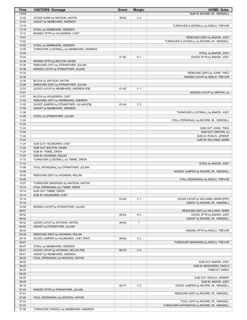| <b>Time</b>    | <b>VISITORS: Gonzaga</b>                                                    | <b>Score</b> | <b>Margin</b>  | <b>HOME: Duke</b>                                                         |
|----------------|-----------------------------------------------------------------------------|--------------|----------------|---------------------------------------------------------------------------|
| 13:53          |                                                                             |              |                | SUB IN: MOORE JR., WENDELL                                                |
| 13:42          | GOOD! DUNK by WATSON, ANTON                                                 | 58-60        | V <sub>2</sub> |                                                                           |
| 13:42          | ASSIST by NEMBHARD, ANDREW                                                  |              |                |                                                                           |
| 13:19          |                                                                             |              |                | TURNOVER (LOSTBALL) by KEELS, TREVOR                                      |
| 13:19          | STEAL by NEMBHARD, ANDREW                                                   |              |                |                                                                           |
| 13:12          | MISSED 3PTR by HOLMGREN, CHET                                               |              |                |                                                                           |
| 13:07<br>13:02 |                                                                             |              |                | REBOUND (DEF) by BAKER, JOEY<br>TURNOVER (LOSTBALL) by MOORE JR., WENDELL |
| 13:02          | STEAL by NEMBHARD, ANDREW                                                   |              |                |                                                                           |
| 12:55          | TURNOVER (LOSTBALL) by NEMBHARD, ANDREW                                     |              |                |                                                                           |
| 12:55          |                                                                             |              |                | STEAL by BAKER, JOEY                                                      |
| 12:44          |                                                                             | 61-60        | H <sub>1</sub> | GOOD! 3PTR by BAKER, JOEY                                                 |
| 12:39          | MISSED 3PTR by BOLTON, RASIR                                                |              |                |                                                                           |
| 12:36          | REBOUND (OFF) by STRAWTHER, JULIAN                                          |              |                |                                                                           |
| 12:36          | MISSED LAYUP by STRAWTHER, JULIAN                                           |              |                |                                                                           |
| 12:32          |                                                                             |              |                | REBOUND (DEF) by JOHN, THEO                                               |
| 12:30          |                                                                             |              |                | MISSED LAYUP by KEELS, TREVOR                                             |
| 12:30          | BLOCK by WATSON, ANTON                                                      |              |                |                                                                           |
| 12:26          | REBOUND (DEF) by STRAWTHER, JULIAN                                          |              |                |                                                                           |
| 12:23          | GOOD! LAYUP by NEMBHARD, ANDREW [FB]                                        | 61-62        | V <sub>1</sub> |                                                                           |
| 11:57          |                                                                             |              |                | MISSED LAYUP by GRIFFIN, AJ                                               |
| 11:57<br>11:52 | BLOCK by HOLMGREN, CHET                                                     |              |                |                                                                           |
| 11:50          | REBOUND (DEF) by NEMBHARD, ANDREW<br>GOOD! JUMPER by STRAWTHER, JULIAN [FB] | 61-64        | $V_3$          |                                                                           |
| 11:50          | ASSIST by NEMBHARD, ANDREW                                                  |              |                |                                                                           |
| 11:26          |                                                                             |              |                | TURNOVER (LOSTBALL) by BAKER, JOEY                                        |
| 11:26          | STEAL by STRAWTHER, JULIAN                                                  |              |                |                                                                           |
| 11:24          |                                                                             |              |                | FOUL (PERSONAL) by MOORE JR., WENDELL                                     |
| 11:24          |                                                                             |              |                |                                                                           |
| 11:24          |                                                                             |              |                | SUB OUT: JOHN, THEO                                                       |
| 11:24          |                                                                             |              |                | SUB OUT: GRIFFIN, AJ                                                      |
| 11:24          |                                                                             |              |                | SUB IN: ROACH, JEREMY                                                     |
| 11:24          |                                                                             |              |                | SUB IN: WILLIAMS, MARK                                                    |
| 11:24          | SUB OUT: HOLMGREN, CHET                                                     |              |                |                                                                           |
| 11:24          | SUB OUT: BOLTON, RASIR                                                      |              |                |                                                                           |
| 11:24          | SUB IN: TIMME, DREW                                                         |              |                |                                                                           |
| 11:24          | SUB IN: HICKMAN, NOLAN                                                      |              |                |                                                                           |
| 11:10<br>11:10 | TURNOVER (LOSTBALL) by TIMME, DREW                                          |              |                |                                                                           |
| 11:09          |                                                                             |              |                | STEAL by BAKER, JOEY                                                      |
| 10:49          | FOUL (PERSONAL) by STRAWTHER, JULIAN                                        |              |                | MISSED JUMPER by MOORE JR., WENDELL                                       |
| 10:45          | REBOUND (DEF) by HICKMAN, NOLAN                                             |              |                |                                                                           |
| 10:40          |                                                                             |              |                | FOUL (PERSONAL) by KEELS, TREVOR                                          |
| 10:27          | TURNOVER (BADPASS) by WATSON, ANTON                                         |              |                |                                                                           |
| 10:14          | FOUL (PERSONAL) by TIMME, DREW                                              |              |                |                                                                           |
| 10:14          | SUB OUT: TIMME, DREW                                                        |              |                |                                                                           |
| 10:14          | SUB IN: HOLMGREN, CHET                                                      |              |                |                                                                           |
| 10:14          |                                                                             | 63-64        | V <sub>1</sub> | GOOD! LAYUP by WILLIAMS, MARK [PNT]                                       |
| 10:14          |                                                                             |              |                | ASSIST by MOORE JR., WENDELL                                              |
| 10:00          | MISSED LAYUP by STRAWTHER, JULIAN                                           |              |                |                                                                           |
| 09:57          |                                                                             |              |                | REBOUND (DEF) by WILLIAMS, MARK                                           |
| 09:52          |                                                                             | 66-64        | H <sub>2</sub> | GOOD! 3PTR by BAKER, JOEY                                                 |
| 09:52<br>09:42 | GOOD! LAYUP by WATSON, ANTON                                                |              | $\mathsf T$    | ASSIST by MOORE JR., WENDELL                                              |
| 09:42          | ASSIST by STRAWTHER, JULIAN                                                 | 66-66        |                |                                                                           |
| 09:34          |                                                                             |              |                | MISSED 3PTR by KEELS, TREVOR                                              |
| 09:28          | REBOUND (DEF) by HICKMAN, NOLAN                                             |              |                |                                                                           |
| 09:19          | GOOD! JUMPER by HOLMGREN, CHET [PNT]                                        | 66-68        | V <sub>2</sub> |                                                                           |
| 08:47          |                                                                             |              |                | TURNOVER (BADPASS) by KEELS, TREVOR                                       |
| 08:47          | STEAL by NEMBHARD, ANDREW                                                   |              |                |                                                                           |
| 08:41          | GOOD! LAYUP by HICKMAN, NOLAN [FB]                                          | 66-70        | V <sub>4</sub> |                                                                           |
| 08:41          | ASSIST by NEMBHARD, ANDREW                                                  |              |                |                                                                           |
| 08:25          | FOUL (PERSONAL) by WATSON, ANTON                                            |              |                |                                                                           |
| 08:25          |                                                                             |              |                | SUB OUT: BAKER, JOEY                                                      |
| 08:25          |                                                                             |              |                | SUB IN: BANCHERO, PAOLO                                                   |
| 08:25          |                                                                             |              |                | TIMEOUT 30SEC                                                             |
| 08:25          |                                                                             |              |                |                                                                           |
| 08:25          |                                                                             |              |                | SUB OUT: ROACH, JEREMY                                                    |
| 08:25<br>08:18 |                                                                             | 68-70        | V <sub>2</sub> | SUB IN: BAKER, JOEY<br>GOOD! JUMPER by MOORE JR., WENDELL                 |
| 07:44          | MISSED 3PTR by STRAWTHER, JULIAN                                            |              |                |                                                                           |
| 07:41          |                                                                             |              |                | REBOUND (DEF) by MOORE JR., WENDELL                                       |
| 07:40          | FOUL (PERSONAL) by WATSON, ANTON                                            |              |                |                                                                           |
| 07:23          |                                                                             |              |                | FOUL (OFF) by MOORE JR., WENDELL                                          |
| 07:23          |                                                                             |              |                | TURNOVER (OFFENSIVE) by MOORE JR., WENDELL                                |
| 07:09          | TURNOVER (TRAVEL) by NEMBHARD, ANDREW                                       |              |                |                                                                           |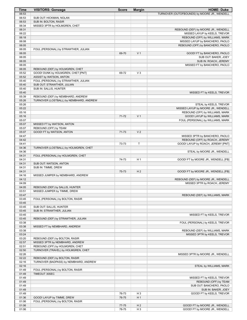| Time           | <b>VISITORS: Gonzaga</b>                                                     | <b>Score</b> | <b>Margin</b>  | <b>HOME: Duke</b>                                                |
|----------------|------------------------------------------------------------------------------|--------------|----------------|------------------------------------------------------------------|
| 06:53          |                                                                              |              |                | TURNOVER (OUTOFBOUNDS) by MOORE JR., WENDELL                     |
| 06:53          | SUB OUT: HICKMAN, NOLAN                                                      |              |                |                                                                  |
| 06:53          | SUB IN: BOLTON, RASIR                                                        |              |                |                                                                  |
| 06:34          | MISSED 3PTR by HOLMGREN, CHET                                                |              |                |                                                                  |
| 06:31          |                                                                              |              |                | REBOUND (DEF) by MOORE JR., WENDELL                              |
| 06:22<br>06:18 |                                                                              |              |                | MISSED LAYUP by KEELS, TREVOR<br>REBOUND (OFF) by WILLIAMS, MARK |
| 06:08          |                                                                              |              |                | MISSED LAYUP by BANCHERO, PAOLO                                  |
| 06:05          |                                                                              |              |                | REBOUND (OFF) by BANCHERO, PAOLO                                 |
| 06:05          | FOUL (PERSONAL) by STRAWTHER, JULIAN                                         |              |                |                                                                  |
| 06:05          |                                                                              | 69-70        | V <sub>1</sub> | GOOD! FT by BANCHERO, PAOLO                                      |
| 06:05          |                                                                              |              |                | SUB OUT: BAKER, JOEY                                             |
| 06:05          |                                                                              |              |                | SUB IN: ROACH, JEREMY                                            |
| 06:05          |                                                                              |              |                | MISSED FT by BANCHERO, PAOLO                                     |
| 06:05          | REBOUND (DEF) by HOLMGREN, CHET                                              |              |                |                                                                  |
| 05:52          | GOOD! DUNK by HOLMGREN, CHET [PNT]                                           | 69-72        | $V_3$          |                                                                  |
| 05:52          | ASSIST by WATSON, ANTON                                                      |              |                |                                                                  |
| 05:40          | FOUL (PERSONAL) by STRAWTHER, JULIAN                                         |              |                |                                                                  |
| 05:40          | SUB OUT: STRAWTHER, JULIAN                                                   |              |                |                                                                  |
| 05:40          | SUB IN: SALLIS, HUNTER                                                       |              |                |                                                                  |
| 05:40          |                                                                              |              |                | MISSED FT by KEELS, TREVOR                                       |
| 05:39<br>05:26 | REBOUND (DEF) by NEMBHARD, ANDREW<br>TURNOVER (LOSTBALL) by NEMBHARD, ANDREW |              |                |                                                                  |
| 05:26          |                                                                              |              |                | STEAL by KEELS, TREVOR                                           |
| 05:22          |                                                                              |              |                | MISSED LAYUP by MOORE JR., WENDELL                               |
| 05:16          |                                                                              |              |                | REBOUND (OFF) by WILLIAMS, MARK                                  |
| 05:16          |                                                                              | 71-72        | V <sub>1</sub> | GOOD! LAYUP by WILLIAMS, MARK                                    |
| 05:07          |                                                                              |              |                | FOUL (PERSONAL) by WILLIAMS, MARK                                |
| 05:07          | MISSED FT by WATSON, ANTON                                                   |              |                |                                                                  |
| 05:07          | REBOUND (OFF) by TEAM                                                        |              |                |                                                                  |
| 05:07          | GOOD! FT by WATSON, ANTON                                                    | 71-73        | V <sub>2</sub> |                                                                  |
| 04:47          |                                                                              |              |                | MISSED 3PTR by BANCHERO, PAOLO                                   |
| 04:42          |                                                                              |              |                | REBOUND (OFF) by ROACH, JEREMY                                   |
| 04:41          |                                                                              | 73-73        | $\mathsf T$    | GOOD! LAYUP by ROACH, JEREMY [PNT]                               |
| 04:36          | TURNOVER (LOSTBALL) by HOLMGREN, CHET                                        |              |                |                                                                  |
| 04:36          |                                                                              |              |                | STEAL by MOORE JR., WENDELL                                      |
| 04:31<br>04:31 | FOUL (PERSONAL) by HOLMGREN, CHET                                            |              | H <sub>1</sub> |                                                                  |
| 04:31          | SUB OUT: WATSON, ANTON                                                       | 74-73        |                | GOOD! FT by MOORE JR., WENDELL [FB]                              |
| 04:31          | SUB IN: TIMME, DREW                                                          |              |                |                                                                  |
| 04:31          |                                                                              | 75-73        | H <sub>2</sub> | GOOD! FT by MOORE JR., WENDELL [FB]                              |
| 04:16          | MISSED JUMPER by NEMBHARD, ANDREW                                            |              |                |                                                                  |
| 04:12          |                                                                              |              |                | REBOUND (DEF) by MOORE JR., WENDELL                              |
| 04:09          |                                                                              |              |                | MISSED 3PTR by ROACH, JEREMY                                     |
| 04:05          | REBOUND (DEF) by SALLIS, HUNTER                                              |              |                |                                                                  |
| 03:51          | MISSED JUMPER by TIMME, DREW                                                 |              |                |                                                                  |
| 03:47          |                                                                              |              |                | REBOUND (DEF) by WILLIAMS, MARK                                  |
| 03:45          | FOUL (PERSONAL) by BOLTON, RASIR                                             |              |                |                                                                  |
| 03:45          |                                                                              |              |                |                                                                  |
| 03:45          | SUB OUT: SALLIS, HUNTER                                                      |              |                |                                                                  |
| 03:45          | SUB IN: STRAWTHER, JULIAN                                                    |              |                |                                                                  |
| 03:45<br>03:45 | REBOUND (DEF) by STRAWTHER, JULIAN                                           |              |                | MISSED FT by KEELS, TREVOR                                       |
| 03:38          |                                                                              |              |                | FOUL (PERSONAL) by KEELS, TREVOR                                 |
| 03:38          | MISSED FT by NEMBHARD, ANDREW                                                |              |                |                                                                  |
| 03:38          |                                                                              |              |                | REBOUND (DEF) by WILLIAMS, MARK                                  |
| 03:24          |                                                                              |              |                | MISSED 3PTR by KEELS, TREVOR                                     |
| 03:20          | REBOUND (DEF) by BOLTON, RASIR                                               |              |                |                                                                  |
| 02:57          | MISSED 3PTR by NEMBHARD, ANDREW                                              |              |                |                                                                  |
| 02:51          | REBOUND (OFF) by HOLMGREN, CHET                                              |              |                |                                                                  |
| 02:50          | TURNOVER (TRAVEL) by HOLMGREN, CHET                                          |              |                |                                                                  |
| 02:26          |                                                                              |              |                | MISSED 3PTR by MOORE JR., WENDELL                                |
| 02:22          | REBOUND (DEF) by BOLTON, RASIR                                               |              |                |                                                                  |
| 02:16          | TURNOVER (BADPASS) by NEMBHARD, ANDREW                                       |              |                |                                                                  |
| 02:16          |                                                                              |              |                | STEAL by WILLIAMS, MARK                                          |
| 01:49          | FOUL (PERSONAL) by BOLTON, RASIR                                             |              |                |                                                                  |
| 01:49          | TIMEOUT 30SEC                                                                |              |                |                                                                  |
| 01:49          |                                                                              |              |                | MISSED FT by KEELS, TREVOR                                       |
| 01:49<br>01:49 |                                                                              |              |                | REBOUND (OFF) by TEAM<br>SUB OUT: BANCHERO, PAOLO                |
| 01:49          |                                                                              |              |                | SUB IN: BAKER, JOEY                                              |
| 01:49          |                                                                              | 76-73        | $H_3$          | GOOD! FT by KEELS, TREVOR                                        |
| 01:36          | GOOD! LAYUP by TIMME, DREW                                                   | 76-75        | H <sub>1</sub> |                                                                  |
| 01:06          | FOUL (PERSONAL) by BOLTON, RASIR                                             |              |                |                                                                  |
| 01:06          |                                                                              | 77-75        | H <sub>2</sub> | GOOD! FT by MOORE JR., WENDELL                                   |
| 01:06          |                                                                              | 78-75        | $H_3$          | GOOD! FT by MOORE JR., WENDELL                                   |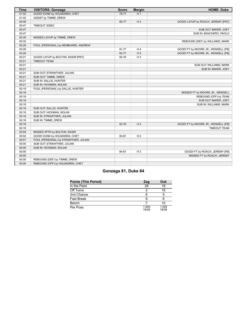| <b>Time</b> | <b>VISITORS: Gonzaga</b>             | <b>Score</b> | <b>Margin</b>  | <b>HOME: Duke</b>                   |
|-------------|--------------------------------------|--------------|----------------|-------------------------------------|
| 01:02       | GOOD! DUNK by HOLMGREN, CHET         | 78-77        | H <sub>1</sub> |                                     |
| 01:02       | ASSIST by TIMME, DREW                |              |                |                                     |
| 00:48       |                                      | 80-77        | $H_3$          | GOOD! LAYUP by ROACH, JEREMY [PNT]  |
| 00:47       | TIMEOUT 30SEC                        |              |                |                                     |
| 00:47       |                                      |              |                | SUB OUT: BAKER, JOEY                |
| 00:47       |                                      |              |                | SUB IN: BANCHERO, PAOLO             |
| 00:35       | MISSED LAYUP by TIMME, DREW          |              |                |                                     |
| 00:32       |                                      |              |                | REBOUND (DEF) by WILLIAMS, MARK     |
| 00:29       | FOUL (PERSONAL) by NEMBHARD, ANDREW  |              |                |                                     |
| 00:29       |                                      | 81-77        | H4             | GOOD! FT by MOORE JR., WENDELL [FB] |
| 00:29       |                                      | 82-77        | H <sub>5</sub> | GOOD! FT by MOORE JR., WENDELL [FB] |
| 00:21       | GOOD! LAYUP by BOLTON, RASIR [PNT]   | 82-79        | $H_3$          |                                     |
| 00:21       | <b>TIMEOUT TEAM</b>                  |              |                |                                     |
| 00:21       |                                      |              |                | SUB OUT: WILLIAMS, MARK             |
| 00:21       |                                      |              |                | SUB IN: BAKER, JOEY                 |
| 00:21       | SUB OUT: STRAWTHER, JULIAN           |              |                |                                     |
| 00:21       | SUB OUT: TIMME, DREW                 |              |                |                                     |
| 00:21       | SUB IN: SALLIS, HUNTER               |              |                |                                     |
| 00:21       | SUB IN: HICKMAN, NOLAN               |              |                |                                     |
| 00:19       | FOUL (PERSONAL) by SALLIS, HUNTER    |              |                |                                     |
| 00:19       |                                      |              |                | MISSED FT by MOORE JR., WENDELL     |
| 00:19       |                                      |              |                | REBOUND (OFF) by TEAM               |
| 00:19       |                                      |              |                | SUB OUT: BAKER, JOEY                |
| 00:19       |                                      |              |                | SUB IN: WILLIAMS, MARK              |
| 00:19       | SUB OUT: SALLIS, HUNTER              |              |                |                                     |
| 00:19       | SUB OUT: HICKMAN, NOLAN              |              |                |                                     |
| 00:19       | SUB IN: STRAWTHER, JULIAN            |              |                |                                     |
| 00:19       | SUB IN: TIMME, DREW                  |              |                |                                     |
| 00:19       |                                      | 83-79        | H <sub>4</sub> | GOOD! FT by MOORE JR., WENDELL [FB] |
| 00:19       |                                      |              |                | <b>TIMEOUT TEAM</b>                 |
| 00:04       | MISSED 3PTR by BOLTON, RASIR         |              |                |                                     |
| 00:02       | GOOD! DUNK by HOLMGREN, CHET         | 83-81        | H <sub>2</sub> |                                     |
| 00:01       | FOUL (PERSONAL) by STRAWTHER, JULIAN |              |                |                                     |
| 00:00       | SUB OUT: STRAWTHER, JULIAN           |              |                |                                     |
| 00:00       | SUB IN: HICKMAN, NOLAN               |              |                |                                     |
| 00:00       |                                      | 84-81        | $H_3$          | GOOD! FT by ROACH, JEREMY [FB]      |
| 00:00       |                                      |              |                | MISSED FT by ROACH, JEREMY          |
| 00:00       | REBOUND (DEF) by TIMME, DREW         |              |                |                                     |
| 00:00       | REBOUND (OFF) by HOLMGREN, CHET      |              |                |                                     |

# **Gonzaga 81, Duke 84**

| <b>Points (This Period)</b> | Zag            | Duk            |
|-----------------------------|----------------|----------------|
| In the Paint                | 28             | 18             |
| Off Turns                   |                | 16             |
| 2nd Chance                  |                | 5              |
| <b>Fast Break</b>           |                |                |
| Bench                       |                | 10             |
| Per Poss                    | 1.000<br>19/39 | 1.026<br>18/38 |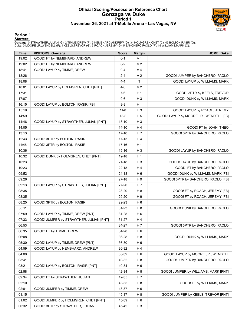### **Official Scoring/Possession Reference Chart Gonzaga vs Duke Period 1 November 26, 2021 at T-Mobile Arena - Las Vegas, NV**



#### **Period 1**

#### **Starters:**

**Gonzaga**: 0 STRAWTHER,JULIAN (G); 2 TIMME,DREW (F); 3 NEMBHARD,ANDREW (G); 34 HOLMGREN,CHET (C); 45 BOLTON,RASIR (G);<br>**Duke**: 0 MOORE JR.,WENDELL (F); 1 KEELS,TREVOR (G); 3 ROACH,JEREMY (G); 5 BANCHERO,PAOLO (F); 15 WILLI

| <b>Time</b> | <b>VISITORS: Gonzaga</b>                | <b>Score</b> | <b>Margin</b>  | <b>HOME: Duke</b>                      |
|-------------|-----------------------------------------|--------------|----------------|----------------------------------------|
| 19:02       | GOOD! FT by NEMBHARD, ANDREW            | $0 - 1$      | V <sub>1</sub> |                                        |
| 19:02       | GOOD! FT by NEMBHARD, ANDREW            | $0 - 2$      | V <sub>2</sub> |                                        |
| 18:41       | GOOD! LAYUP by TIMME, DREW              | $0 - 4$      | V <sub>4</sub> |                                        |
| 18:26       |                                         | $2 - 4$      | V <sub>2</sub> | GOOD! JUMPER by BANCHERO, PAOLO        |
| 18:08       |                                         | 4-4          | Τ              | GOOD! LAYUP by WILLIAMS, MARK          |
| 18:01       | GOOD! LAYUP by HOLMGREN, CHET [PNT]     | $4-6$        | V <sub>2</sub> |                                        |
| 17:31       |                                         | 7-6          | H <sub>1</sub> | GOOD! 3PTR by KEELS, TREVOR            |
| 17:07       |                                         | $9-6$        | H <sub>3</sub> | GOOD! DUNK by WILLIAMS, MARK           |
| 16:15       | GOOD! LAYUP by BOLTON, RASIR [FB]       | $9-8$        | H <sub>1</sub> |                                        |
| 15:19       |                                         | $11 - 8$     | $H_3$          | GOOD! LAYUP by ROACH, JEREMY           |
| 14:59       |                                         | $13 - 8$     | H <sub>5</sub> | GOOD! LAYUP by MOORE JR., WENDELL [FB] |
| 14:46       | GOOD! LAYUP by STRAWTHER, JULIAN [PNT]  | $13 - 10$    | $H_3$          |                                        |
| 14:05       |                                         | $14 - 10$    | H 4            | GOOD! FT by JOHN, THEO                 |
| 13:13       |                                         | $17 - 10$    | H 7            | GOOD! 3PTR by BANCHERO, PAOLO          |
| 12:43       | GOOD! 3PTR by BOLTON, RASIR             | $17-13$      | H 4            |                                        |
| 11:46       | GOOD! 3PTR by BOLTON, RASIR             | 17-16        | H 1            |                                        |
| 10:36       |                                         | 19-16        | $H_3$          | GOOD! LAYUP by BANCHERO, PAOLO         |
| 10:32       | GOOD! DUNK by HOLMGREN, CHET [PNT]      | 19-18        | H <sub>1</sub> |                                        |
| 10:23       |                                         | $21 - 18$    | $H_3$          | GOOD! LAYUP by BANCHERO, PAOLO         |
| 10:23       |                                         | $22 - 18$    | H4             | GOOD! FT by BANCHERO, PAOLO            |
| 09:52       |                                         | 24-18        | H <sub>6</sub> | GOOD! DUNK by WILLIAMS, MARK [FB]      |
| 09:26       |                                         | 27-18        | H 9            | GOOD! 3PTR by BANCHERO, PAOLO [FB]     |
| 09:13       | GOOD! LAYUP by STRAWTHER, JULIAN [PNT]  | 27-20        | H 7            |                                        |
| 08:35       |                                         | 28-20        | H 8            | GOOD! FT by ROACH, JEREMY [FB]         |
| 08:35       |                                         | 29-20        | H 9            | GOOD! FT by ROACH, JEREMY [FB]         |
| 08:25       | GOOD! 3PTR by BOLTON, RASIR             | 29-23        | H <sub>6</sub> |                                        |
| 08:11       |                                         | $31 - 23$    | H <sub>8</sub> | GOOD! DUNK by BANCHERO, PAOLO          |
| 07:59       | GOOD! LAYUP by TIMME, DREW [PNT]        | $31 - 25$    | H <sub>6</sub> |                                        |
| 07:33       | GOOD! JUMPER by STRAWTHER, JULIAN [PNT] | $31 - 27$    | H 4            |                                        |
| 06:53       |                                         | 34-27        | H 7            | GOOD! 3PTR by BANCHERO, PAOLO          |
| 06:35       | GOOD! FT by TIMME, DREW                 | 34-28        | H <sub>6</sub> |                                        |
| 06:08       |                                         | 36-28        | H 8            | GOOD! DUNK by WILLIAMS, MARK           |
| 05:30       | GOOD! LAYUP by TIMME, DREW [PNT]        | 36-30        | H <sub>6</sub> |                                        |
| 04:59       | GOOD! LAYUP by NEMBHARD, ANDREW         | 36-32        | H4             |                                        |
| 04:00       |                                         | 38-32        | H <sub>6</sub> | GOOD! LAYUP by MOORE JR., WENDELL      |
| 03:41       |                                         | 40-32        | H 8            | GOOD! JUMPER by BANCHERO, PAOLO        |
| 03:21       | GOOD! LAYUP by BOLTON, RASIR [PNT]      | 40-34        | H <sub>6</sub> |                                        |
| 02:58       |                                         | 42-34        | H <sub>8</sub> | GOOD! JUMPER by WILLIAMS, MARK [PNT]   |
| 02:34       | GOOD! FT by STRAWTHER, JULIAN           | 42-35        | H 7            |                                        |
| 02:10       |                                         | 43-35        | H <sub>8</sub> | GOOD! FT by WILLIAMS, MARK             |
| 02:01       | GOOD! JUMPER by TIMME, DREW             | 43-37        | H <sub>6</sub> |                                        |
| 01:15       |                                         | 45-37        | H 8            | GOOD! JUMPER by KEELS, TREVOR [PNT]    |
| 01:02       | GOOD! JUMPER by HOLMGREN, CHET [PNT]    | 45-39        | H <sub>6</sub> |                                        |
| 00:32       | GOOD! 3PTR by STRAWTHER, JULIAN         | 45-42        | $H_3$          |                                        |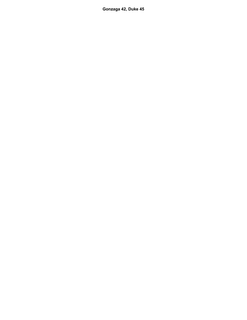**Gonzaga 42, Duke 45**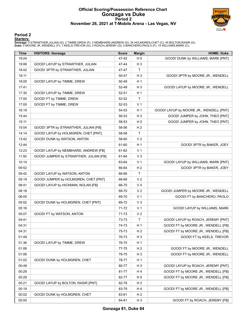### **Official Scoring/Possession Reference Chart Gonzaga vs Duke Period 2 November 26, 2021 at T-Mobile Arena - Las Vegas, NV**



#### **Period 2**

#### **Starters:**

**Gonzaga**: 0 STRAWTHER,JULIAN (G); 2 TIMME,DREW (F); 3 NEMBHARD,ANDREW (G); 34 HOLMGREN,CHET (C); 45 BOLTON,RASIR (G);<br>**Duke**: 0 MOORE JR.,WENDELL (F); 1 KEELS,TREVOR (G); 3 ROACH,JEREMY (G); 5 BANCHERO,PAOLO (F); 15 WILLI

| Time  | <b>VISITORS: Gonzaga</b>               | <b>Score</b> | <b>Margin</b>  | <b>HOME: Duke</b>                       |
|-------|----------------------------------------|--------------|----------------|-----------------------------------------|
| 19:24 |                                        | 47-42        | H <sub>5</sub> | GOOD! DUNK by WILLIAMS, MARK [PNT]      |
| 19:06 | GOOD! LAYUP by STRAWTHER, JULIAN       | 47-44        | H <sub>3</sub> |                                         |
| 18:42 | GOOD! 3PTR by STRAWTHER, JULIAN        | 47-47        | $\mathsf{T}$   |                                         |
| 18:11 |                                        | 50-47        | $H_3$          | GOOD! 3PTR by MOORE JR., WENDELL        |
| 18:00 | GOOD! LAYUP by TIMME, DREW             | 50-49        | H <sub>1</sub> |                                         |
| 17:41 |                                        | 52-49        | $H_3$          | GOOD! LAYUP by MOORE JR., WENDELL       |
| 17:30 | GOOD! LAYUP by TIMME, DREW             | 52-51        | H <sub>1</sub> |                                         |
| 17:00 | GOOD! FT by TIMME, DREW                | $52 - 52$    | $\mathsf T$    |                                         |
| 17:00 | GOOD! FT by TIMME, DREW                | 52-53        | V <sub>1</sub> |                                         |
| 16:19 |                                        | 54-53        | H <sub>1</sub> | GOOD! LAYUP by MOORE JR., WENDELL [PNT] |
| 15:44 |                                        | 56-53        | H <sub>3</sub> | GOOD! JUMPER by JOHN, THEO [PNT]        |
| 15:11 |                                        | 58-53        | H <sub>5</sub> | GOOD! JUMPER by JOHN, THEO [PNT]        |
| 15:04 | GOOD! 3PTR by STRAWTHER, JULIAN [FB]   | 58-56        | H <sub>2</sub> |                                         |
| 14:14 | GOOD! LAYUP by HOLMGREN, CHET [PNT]    | 58-58        | T              |                                         |
| 13:42 | GOOD! DUNK by WATSON, ANTON            | 58-60        | V <sub>2</sub> |                                         |
| 12:44 |                                        | 61-60        | H <sub>1</sub> | GOOD! 3PTR by BAKER, JOEY               |
| 12:23 | GOOD! LAYUP by NEMBHARD, ANDREW [FB]   | 61-62        | V <sub>1</sub> |                                         |
| 11:50 | GOOD! JUMPER by STRAWTHER, JULIAN [FB] | 61-64        | $V_3$          |                                         |
| 10:14 |                                        | 63-64        | V <sub>1</sub> | GOOD! LAYUP by WILLIAMS, MARK [PNT]     |
| 09:52 |                                        | 66-64        | H <sub>2</sub> | GOOD! 3PTR by BAKER, JOEY               |
| 09:42 | GOOD! LAYUP by WATSON, ANTON           | 66-66        | Τ              |                                         |
| 09:19 | GOOD! JUMPER by HOLMGREN, CHET [PNT]   | 66-68        | V <sub>2</sub> |                                         |
| 08:41 | GOOD! LAYUP by HICKMAN, NOLAN [FB]     | 66-70        | V <sub>4</sub> |                                         |
| 08:18 |                                        | 68-70        | V <sub>2</sub> | GOOD! JUMPER by MOORE JR., WENDELL      |
| 06:05 |                                        | 69-70        | V <sub>1</sub> | GOOD! FT by BANCHERO, PAOLO             |
| 05:52 | GOOD! DUNK by HOLMGREN, CHET [PNT]     | 69-72        | $V_3$          |                                         |
| 05:16 |                                        | 71-72        | V <sub>1</sub> | GOOD! LAYUP by WILLIAMS, MARK           |
| 05:07 | GOOD! FT by WATSON, ANTON              | 71-73        | V <sub>2</sub> |                                         |
| 04:41 |                                        | 73-73        | $\mathsf T$    | GOOD! LAYUP by ROACH, JEREMY [PNT]      |
| 04:31 |                                        | 74-73        | H <sub>1</sub> | GOOD! FT by MOORE JR., WENDELL [FB]     |
| 04:31 |                                        | 75-73        | H <sub>2</sub> | GOOD! FT by MOORE JR., WENDELL [FB]     |
| 01:49 |                                        | 76-73        | $H_3$          | GOOD! FT by KEELS, TREVOR               |
| 01:36 | GOOD! LAYUP by TIMME, DREW             | 76-75        | H <sub>1</sub> |                                         |
| 01:06 |                                        | 77-75        | H <sub>2</sub> | GOOD! FT by MOORE JR., WENDELL          |
| 01:06 |                                        | 78-75        | H <sub>3</sub> | GOOD! FT by MOORE JR., WENDELL          |
| 01:02 | GOOD! DUNK by HOLMGREN, CHET           | 78-77        | H <sub>1</sub> |                                         |
| 00:48 |                                        | 80-77        | H <sub>3</sub> | GOOD! LAYUP by ROACH, JEREMY [PNT]      |
| 00:29 |                                        | 81-77        | H 4            | GOOD! FT by MOORE JR., WENDELL [FB]     |
| 00:29 |                                        | 82-77        | H <sub>5</sub> | GOOD! FT by MOORE JR., WENDELL [FB]     |
| 00:21 | GOOD! LAYUP by BOLTON, RASIR [PNT]     | 82-79        | $H_3$          |                                         |
| 00:19 |                                        | 83-79        | H 4            | GOOD! FT by MOORE JR., WENDELL [FB]     |
| 00:02 | GOOD! DUNK by HOLMGREN, CHET           | 83-81        | H <sub>2</sub> |                                         |
| 00:00 |                                        | 84-81        | H <sub>3</sub> | GOOD! FT by ROACH, JEREMY [FB]          |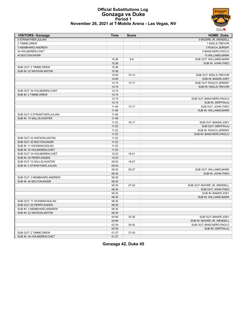#### **Official Substitutions Log Gonzaga vs Duke Period 1 November 26, 2021 at T-Mobile Arena - Las Vegas, NV**



| <b>VISITORS: Gonzaga</b>     | <b>Time</b> | <b>Score</b> | <b>HOME: Duke</b>           |
|------------------------------|-------------|--------------|-----------------------------|
| 0 STRAWTHER, JULIAN          |             |              | 0 MOORE JR., WENDELL        |
| 2 TIMME, DREW                |             |              | 1 KEELS, TREVOR             |
| 3 NEMBHARD, ANDREW           |             |              | 3 ROACH, JEREMY             |
| 34 HOLMGREN, CHET            |             |              | 5 BANCHERO, PAOLO           |
| 45 BOLTON, RASIR             |             |              | 15 WILLIAMS, MARK           |
|                              | 15:36       | $8-9$        | SUB OUT: WILLIAMS, MARK     |
|                              | 15:36       |              | SUB IN: JOHN, THEO          |
| SUB OUT: 2 TIMME, DREW       | 15:36       |              |                             |
| SUB IN: 22 WATSON, ANTON     | 15:36       |              |                             |
|                              | 14:05       | $10-13$      | SUB OUT: KEELS, TREVOR      |
|                              | 14:05       |              | SUB IN: BAKER, JOEY         |
|                              | 12:15       | $13 - 17$    | SUB OUT: ROACH, JEREMY      |
|                              | 12:15       |              | SUB IN: KEELS, TREVOR       |
| SUB OUT: 34 HOLMGREN, CHET   | 12:15       |              |                             |
| SUB IN: 2 TIMME, DREW        | 12:15       |              |                             |
|                              | 12:15       |              | SUB OUT: BANCHERO, PAOLO    |
|                              | 12:15       |              | SUB IN: GRIFFIN, AJ         |
|                              | 11:48       | $13 - 17$    | SUB OUT: JOHN, THEO         |
|                              | 11:48       |              | SUB IN: WILLIAMS, MARK      |
| SUB OUT: 0 STRAWTHER, JULIAN | 11:48       |              |                             |
| SUB IN: 10 SALLIS, HUNTER    | 11:48       |              |                             |
|                              | 11:23       | $16-17$      | SUB OUT: BAKER, JOEY        |
|                              | 11:23       |              | SUB OUT: GRIFFIN, AJ        |
|                              | 11:23       |              | SUB IN: ROACH, JEREMY       |
|                              | 11:23       |              | SUB IN: BANCHERO, PAOLO     |
| SUB OUT: 22 WATSON, ANTON    | 11:23       |              |                             |
| SUB OUT: 45 BOLTON, RASIR    | 11:23       |              |                             |
| SUB IN: 11 HICKMAN, NOLAN    | 11:23       |              |                             |
| SUB IN: 34 HOLMGREN, CHET    | 11:23       |              |                             |
| SUB OUT: 34 HOLMGREN, CHET   | 10:23       | $18 - 21$    |                             |
| SUB IN: 20 PERRY, KADEN      | 10:23       |              |                             |
| SUB OUT: 10 SALLIS, HUNTER   | 09:20       | 18-27        |                             |
| SUB IN: 0 STRAWTHER, JULIAN  | 09:20       |              |                             |
|                              | 08:35       | $20 - 27$    | SUB OUT: WILLIAMS, MARK     |
|                              | 08:35       |              | SUB IN: JOHN, THEO          |
| SUB OUT: 3 NEMBHARD, ANDREW  | 08:35       |              |                             |
| SUB IN: 45 BOLTON, RASIR     | 08:35       |              |                             |
|                              | 06:35       | 27-34        | SUB OUT: MOORE JR., WENDELL |
|                              | 06:35       |              | SUB OUT: JOHN, THEO         |
|                              | 06:35       |              | SUB IN: BAKER, JOEY         |
|                              | 06:35       |              | SUB IN: WILLIAMS, MARK      |
| SUB OUT: 11 HICKMAN, NOLAN   | 06:35       |              |                             |
| SUB OUT: 20 PERRY.KADEN      | 06:35       |              |                             |
| SUB IN: 3 NEMBHARD, ANDREW   | 06:35       |              |                             |
| SUB IN: 22 WATSON, ANTON     | 06:35       |              |                             |
|                              | 04:06       | 32-36        | SUB OUT: BAKER, JOEY        |
|                              | 04:06       |              | SUB IN: MOORE JR., WENDELL  |
|                              | 02:34       | 35-42        | SUB OUT: BANCHERO, PAOLO    |
|                              | 02:34       |              | SUB IN: GRIFFIN, AJ         |
| SUB OUT: 2 TIMME, DREW       | 01:27       | $37 - 43$    |                             |
| SUB IN: 34 HOLMGREN, CHET    | 01:27       |              |                             |
|                              |             |              |                             |

**Gonzaga 42, Duke 45**